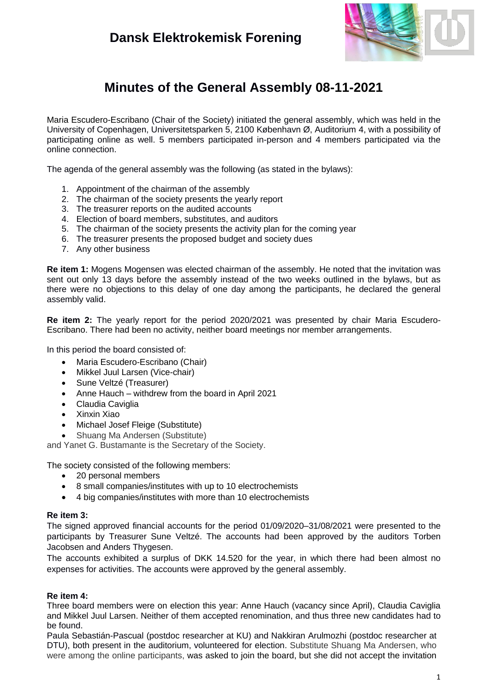### **Dansk Elektrokemisk Forening**



## **Minutes of the General Assembly 08-11-2021**

Maria Escudero-Escribano (Chair of the Society) initiated the general assembly, which was held in the University of Copenhagen, Universitetsparken 5, 2100 København Ø, Auditorium 4, with a possibility of participating online as well. 5 members participated in-person and 4 members participated via the online connection.

The agenda of the general assembly was the following (as stated in the bylaws):

- 1. Appointment of the chairman of the assembly
- 2. The chairman of the society presents the yearly report
- 3. The treasurer reports on the audited accounts
- 4. Election of board members, substitutes, and auditors
- 5. The chairman of the society presents the activity plan for the coming year
- 6. The treasurer presents the proposed budget and society dues
- 7. Any other business

**Re item 1:** Mogens Mogensen was elected chairman of the assembly. He noted that the invitation was sent out only 13 days before the assembly instead of the two weeks outlined in the bylaws, but as there were no objections to this delay of one day among the participants, he declared the general assembly valid.

**Re item 2:** The yearly report for the period 2020/2021 was presented by chair Maria Escudero-Escribano. There had been no activity, neither board meetings nor member arrangements.

In this period the board consisted of:

- Maria Escudero-Escribano (Chair)
- Mikkel Juul Larsen (Vice-chair)
- Sune Veltzé (Treasurer)
- Anne Hauch withdrew from the board in April 2021
- Claudia Caviglia
- Xinxin Xiao
- Michael Josef Fleige (Substitute)
- Shuang Ma Andersen (Substitute)

and Yanet G. Bustamante is the Secretary of the Society.

The society consisted of the following members:

- 20 personal members
- 8 small companies/institutes with up to 10 electrochemists
- 4 big companies/institutes with more than 10 electrochemists

#### **Re item 3:**

The signed approved financial accounts for the period 01/09/2020–31/08/2021 were presented to the participants by Treasurer Sune Veltzé. The accounts had been approved by the auditors Torben Jacobsen and Anders Thygesen.

The accounts exhibited a surplus of DKK 14.520 for the year, in which there had been almost no expenses for activities. The accounts were approved by the general assembly.

### **Re item 4:**

Three board members were on election this year: Anne Hauch (vacancy since April), Claudia Caviglia and Mikkel Juul Larsen. Neither of them accepted renomination, and thus three new candidates had to be found.

Paula Sebastián-Pascual (postdoc researcher at KU) and Nakkiran Arulmozhi (postdoc researcher at DTU), both present in the auditorium, volunteered for election. Substitute Shuang Ma Andersen, who were among the online participants, was asked to join the board, but she did not accept the invitation